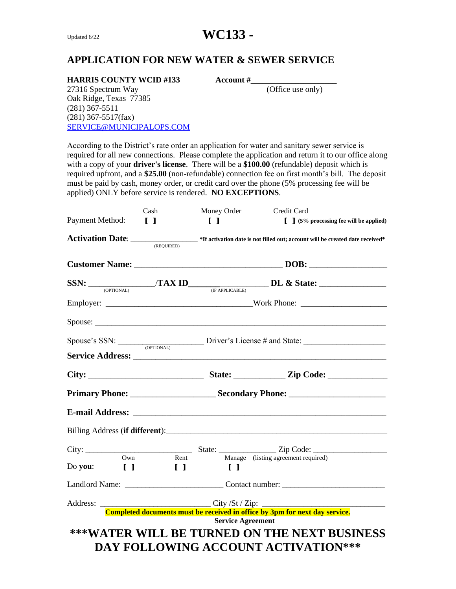# **APPLICATION FOR NEW WATER & SEWER SERVICE**

### **HARRIS COUNTY WCID #133 Account #**

27316 Spectrum Way (Office use only) Oak Ridge, Texas 77385 (281) 367-5511 (281) 367-5517(fax) [SERVICE@MUNICIPALOPS.COM](mailto:SERVICE@MUNICIPALOPS.COM)

According to the District's rate order an application for water and sanitary sewer service is required for all new connections. Please complete the application and return it to our office along with a copy of your **driver's license**. There will be a **\$100.00** (refundable) deposit which is required upfront, and a **\$25.00** (non-refundable) connection fee on first month's bill. The deposit must be paid by cash, money order, or credit card over the phone (5% processing fee will be applied) ONLY before service is rendered. **NO EXCEPTIONS**.

|                 | Cash           | Money Order                                                                                                                  | Credit Card                                                                                                     |  |
|-----------------|----------------|------------------------------------------------------------------------------------------------------------------------------|-----------------------------------------------------------------------------------------------------------------|--|
| Payment Method: | $\blacksquare$ | $\blacksquare$                                                                                                               | $\left[\begin{array}{c}\n\end{array}\right]$ (5% processing fee will be applied)                                |  |
|                 |                |                                                                                                                              | Activation Date: <u>CREQUIRED</u> *If activation date is not filled out; account will be created date received* |  |
|                 |                |                                                                                                                              |                                                                                                                 |  |
|                 |                |                                                                                                                              |                                                                                                                 |  |
|                 |                |                                                                                                                              |                                                                                                                 |  |
|                 |                |                                                                                                                              |                                                                                                                 |  |
|                 |                | $Spouse's SSN:$ Driver's License # and State:                                                                                |                                                                                                                 |  |
|                 |                |                                                                                                                              |                                                                                                                 |  |
|                 |                |                                                                                                                              |                                                                                                                 |  |
|                 |                |                                                                                                                              |                                                                                                                 |  |
|                 |                |                                                                                                                              |                                                                                                                 |  |
|                 |                |                                                                                                                              | Billing Address ( <b>if different</b> ):                                                                        |  |
|                 |                |                                                                                                                              |                                                                                                                 |  |
|                 | Own            | Do you: $\begin{bmatrix} 1 \\ 1 \end{bmatrix}$ $\begin{bmatrix} 1 \\ 1 \end{bmatrix}$ $\begin{bmatrix} 1 \\ 1 \end{bmatrix}$ | Rent Manage (listing agreement required)                                                                        |  |
|                 |                |                                                                                                                              |                                                                                                                 |  |
|                 |                |                                                                                                                              |                                                                                                                 |  |
|                 |                |                                                                                                                              | <b>Service Agreement</b>                                                                                        |  |
|                 |                |                                                                                                                              |                                                                                                                 |  |
|                 |                |                                                                                                                              | ***WATER WILL BE TURNED ON THE NEXT BUSINESS                                                                    |  |
|                 |                |                                                                                                                              | DAY FOLLOWING ACCOUNT ACTIVATION ***                                                                            |  |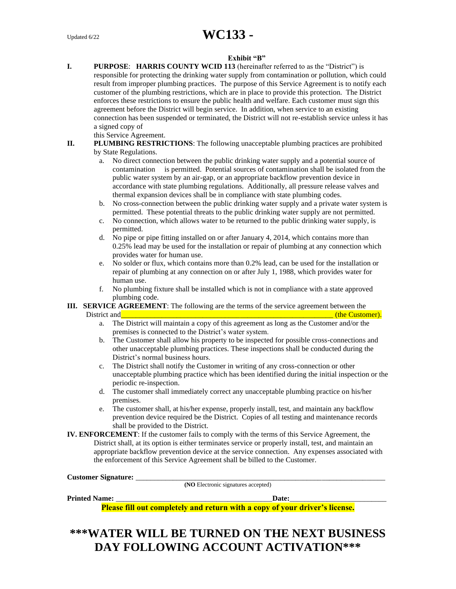#### **Exhibit "B"**

**I. PURPOSE**: **HARRIS COUNTY WCID 113** (hereinafter referred to as the "District") is responsible for protecting the drinking water supply from contamination or pollution, which could result from improper plumbing practices. The purpose of this Service Agreement is to notify each customer of the plumbing restrictions, which are in place to provide this protection. The District enforces these restrictions to ensure the public health and welfare. Each customer must sign this agreement before the District will begin service. In addition, when service to an existing connection has been suspended or terminated, the District will not re-establish service unless it has a signed copy of

this Service Agreement.

- **II. PLUMBING RESTRICTIONS**: The following unacceptable plumbing practices are prohibited by State Regulations.
	- a. No direct connection between the public drinking water supply and a potential source of contamination is permitted. Potential sources of contamination shall be isolated from the public water system by an air-gap, or an appropriate backflow prevention device in accordance with state plumbing regulations. Additionally, all pressure release valves and thermal expansion devices shall be in compliance with state plumbing codes.
	- b. No cross-connection between the public drinking water supply and a private water system is permitted. These potential threats to the public drinking water supply are not permitted.
	- c. No connection, which allows water to be returned to the public drinking water supply, is permitted.
	- d. No pipe or pipe fitting installed on or after January 4, 2014, which contains more than 0.25% lead may be used for the installation or repair of plumbing at any connection which provides water for human use.
	- e. No solder or flux, which contains more than 0.2% lead, can be used for the installation or repair of plumbing at any connection on or after July 1, 1988, which provides water for human use.
	- f. No plumbing fixture shall be installed which is not in compliance with a state approved plumbing code.
- **III. SERVICE AGREEMENT**: The following are the terms of the service agreement between the District and **EXECUTE 2018 District and CONSUMISTION (the Customer). (the Customer).** 
	- a. The District will maintain a copy of this agreement as long as the Customer and/or the premises is connected to the District's water system.
	- b. The Customer shall allow his property to be inspected for possible cross-connections and other unacceptable plumbing practices. These inspections shall be conducted during the District's normal business hours.
	- c. The District shall notify the Customer in writing of any cross-connection or other unacceptable plumbing practice which has been identified during the initial inspection or the periodic re-inspection.
	- d. The customer shall immediately correct any unacceptable plumbing practice on his/her premises.
	- e. The customer shall, at his/her expense, properly install, test, and maintain any backflow prevention device required be the District. Copies of all testing and maintenance records shall be provided to the District.
- **IV. ENFORCEMENT**: If the customer fails to comply with the terms of this Service Agreement, the District shall, at its option is either terminates service or properly install, test, and maintain an appropriate backflow prevention device at the service connection. Any expenses associated with the enforcement of this Service Agreement shall be billed to the Customer.

**Customer Signature:** \_\_\_\_\_\_\_\_\_\_\_\_\_\_\_\_\_\_\_\_\_\_\_\_\_\_\_\_\_\_\_\_\_\_\_\_\_\_\_\_\_\_\_\_\_\_\_\_\_\_\_\_\_\_\_\_\_\_\_\_\_\_\_\_\_\_\_

**(NO** Electronic signatures accepted)

Printed Name: **Date:** 

**Please fill out completely and return with a copy of your driver's license.**

# **\*\*\*WATER WILL BE TURNED ON THE NEXT BUSINESS DAY FOLLOWING ACCOUNT ACTIVATION\*\*\***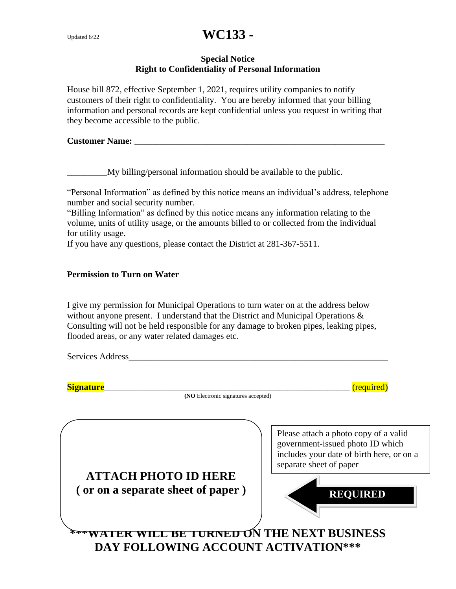## **Special Notice Right to Confidentiality of Personal Information**

House bill 872, effective September 1, 2021, requires utility companies to notify customers of their right to confidentiality. You are hereby informed that your billing information and personal records are kept confidential unless you request in writing that they become accessible to the public.

### **Customer Name:**  $\blacksquare$

\_\_\_\_\_\_\_\_\_My billing/personal information should be available to the public.

"Personal Information" as defined by this notice means an individual's address, telephone number and social security number.

"Billing Information" as defined by this notice means any information relating to the volume, units of utility usage, or the amounts billed to or collected from the individual for utility usage.

If you have any questions, please contact the District at 281-367-5511.

### **Permission to Turn on Water**

I give my permission for Municipal Operations to turn water on at the address below without anyone present. I understand that the District and Municipal Operations  $\&$ Consulting will not be held responsible for any damage to broken pipes, leaking pipes, flooded areas, or any water related damages etc.

| <b>Signature</b>                                                 | (required)                                                                                                                                                           |
|------------------------------------------------------------------|----------------------------------------------------------------------------------------------------------------------------------------------------------------------|
| (NO Electronic signatures accepted)                              |                                                                                                                                                                      |
| <b>ATTACH PHOTO ID HERE</b><br>(or on a separate sheet of paper) | Please attach a photo copy of a valid<br>government-issued photo ID which<br>includes your date of birth here, or on a<br>separate sheet of paper<br><b>REQUIRED</b> |
| DAY FOLLOWING ACCOUNT ACTIVATION***                              | <b>LE BE TURNED ON THE NEXT BUSINESS</b>                                                                                                                             |